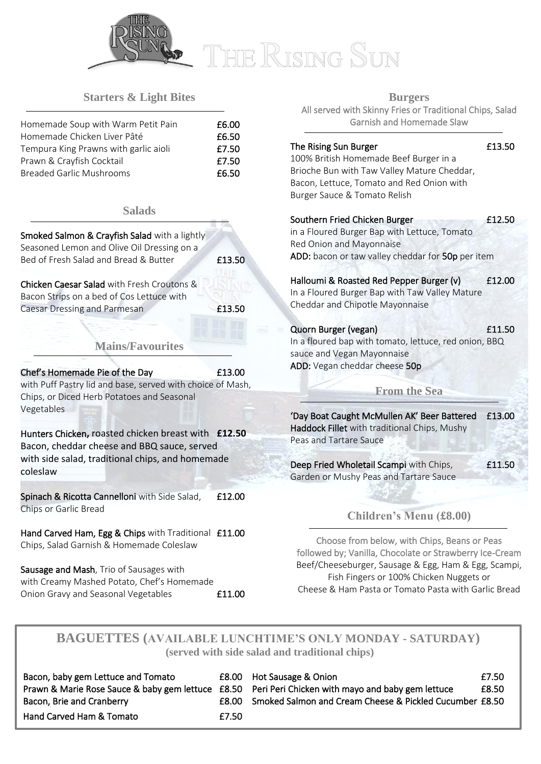

# THE RISING SUN

## **Starters & Light Bites**

| Homemade Soup with Warm Petit Pain    | £6.00 |
|---------------------------------------|-------|
| Homemade Chicken Liver Pâté           | £6.50 |
| Tempura King Prawns with garlic aioli | £7.50 |
| Prawn & Crayfish Cocktail             | £7.50 |
| <b>Breaded Garlic Mushrooms</b>       | £6.50 |

#### **Salads**

| <b>Smoked Salmon &amp; Crayfish Salad</b> with a lightly<br>Seasoned Lemon and Olive Oil Dressing on a<br>Bed of Fresh Salad and Bread & Butter                    | £13.50 |
|--------------------------------------------------------------------------------------------------------------------------------------------------------------------|--------|
| Chicken Caesar Salad with Fresh Croutons &<br>Bacon Strips on a bed of Cos Lettuce with<br>Caesar Dressing and Parmesan<br><b>Mains/Favourites</b>                 | £13.50 |
|                                                                                                                                                                    |        |
| Chef's Homemade Pie of the Day<br>with Puff Pastry lid and base, served with choice of Mash,<br>Chips, or Diced Herb Potatoes and Seasonal<br>Vegetables           | £13.00 |
| Hunters Chicken, roasted chicken breast with £12.50<br>Bacon, cheddar cheese and BBQ sauce, served<br>with side salad, traditional chips, and homemade<br>coleslaw |        |
| Spinach & Ricotta Cannelloni with Side Salad,<br>Chips or Garlic Bread                                                                                             | £12.00 |
| Hand Carved Ham, Egg & Chips with Traditional<br>Chips, Salad Garnish & Homemade Coleslaw                                                                          | £11.00 |
|                                                                                                                                                                    |        |

Sausage and Mash, Trio of Sausages with with Creamy Mashed Potato, Chef's Homemade Onion Gravy and Seasonal Vegetables **E11.00** 

Ī

**Burgers** All served with Skinny Fries or Traditional Chips, Salad Garnish and Homemade Slaw

## The Rising Sun Burger **13.50**

100% British Homemade Beef Burger in a Brioche Bun with Taw Valley Mature Cheddar, Bacon, Lettuce, Tomato and Red Onion with Burger Sauce & Tomato Relish

| Southern Fried Chicken Burger                     | £12.50 |
|---------------------------------------------------|--------|
| in a Floured Burger Bap with Lettuce, Tomato      |        |
| Red Onion and Mayonnaise                          |        |
| ADD: bacon or taw valley cheddar for 50p per item |        |

## Halloumi & Roasted Red Pepper Burger (v) £12.00

In a Floured Burger Bap with Taw Valley Mature Cheddar and Chipotle Mayonnaise

## Quorn Burger (vegan) £11.50

In a floured bap with tomato, lettuce, red onion, BBQ sauce and Vegan Mayonnaise ADD: Vegan cheddar cheese 50p

## **From the Sea**

'Day Boat Caught McMullen AK' Beer Battered £13.00 Haddock Fillet with traditional Chips, Mushy Peas and Tartare Sauce

Deep Fried Wholetail Scampi with Chips, F11.50 Garden or Mushy Peas and Tartare Sauce

## **Children's Menu (£8.00)**

Choose from below, with Chips, Beans or Peas followed by; Vanilla, Chocolate or Strawberry Ice-Cream Beef/Cheeseburger, Sausage & Egg, Ham & Egg, Scampi, Fish Fingers or 100% Chicken Nuggets or Cheese & Ham Pasta or Tomato Pasta with Garlic Bread

## **BAGUETTES (AVAILABLE LUNCHTIME'S ONLY MONDAY - SATURDAY) (served with side salad and traditional chips)**

| Bacon, baby gem Lettuce and Tomato |         | <b>E8.00</b> Hot Sausage & Onion                                                                   | £7.50 |
|------------------------------------|---------|----------------------------------------------------------------------------------------------------|-------|
|                                    |         | Prawn & Marie Rose Sauce & baby gem lettuce £8.50 Peri Peri Chicken with mayo and baby gem lettuce | £8.50 |
| Bacon, Brie and Cranberry          | F8.00 - | Smoked Salmon and Cream Cheese & Pickled Cucumber £8.50                                            |       |
| Hand Carved Ham & Tomato           | £7.50   |                                                                                                    |       |